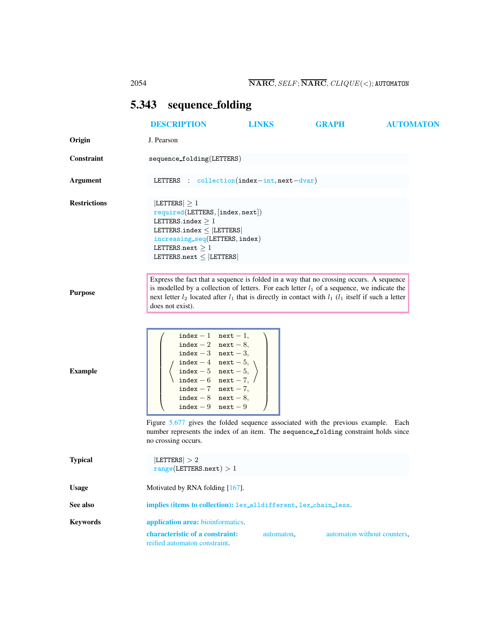## <span id="page-0-0"></span>5.343 sequence folding

<span id="page-0-1"></span>

|                     | <b>DESCRIPTION</b>                                                                                                                                                                                                                                                                                                                                                                                                               | <b>LINKS</b> | <b>GRAPH</b>                | <b>AUTOMATON</b> |
|---------------------|----------------------------------------------------------------------------------------------------------------------------------------------------------------------------------------------------------------------------------------------------------------------------------------------------------------------------------------------------------------------------------------------------------------------------------|--------------|-----------------------------|------------------|
| Origin              | J. Pearson                                                                                                                                                                                                                                                                                                                                                                                                                       |              |                             |                  |
| Constraint          | $sequence_folding(LETTERS)$                                                                                                                                                                                                                                                                                                                                                                                                      |              |                             |                  |
| Argument            | LETTERS : $\text{collection}(\text{index}-\text{int}, \text{next}-\text{dvar})$                                                                                                                                                                                                                                                                                                                                                  |              |                             |                  |
| <b>Restrictions</b> | $ LETTERS  \geq 1$<br>required(LETTERS, [index, next])<br>LETTERS.index $>1$<br>LETTERS.index $\leq$ [LETTERS]<br>$increasing\_seq(LETTERS, index)$<br>LETTERS.next $\geq 1$<br>LETTERS.next $\leq$ [LETTERS]                                                                                                                                                                                                                    |              |                             |                  |
| <b>Purpose</b>      | Express the fact that a sequence is folded in a way that no crossing occurs. A sequence<br>is modelled by a collection of letters. For each letter $l_1$ of a sequence, we indicate the<br>next letter $l_2$ located after $l_1$ that is directly in contact with $l_1$ ( $l_1$ itself if such a letter<br>does not exist).                                                                                                      |              |                             |                  |
| <b>Example</b>      | index $-1$ next $-1$ ,<br>index - 2 next - 8,<br>index $-3$ next $-3$ ,<br>$index - 4$ next - 5,<br>$index - 5$ next - 5,<br>index - 6 next - 7, /<br>$index - 7$ next - 7,<br>index $-8$ next $-8$ ,<br>index $-9$ next $-9$<br>Figure 5.677 gives the folded sequence associated with the previous example. Each<br>number represents the index of an item. The sequence_folding constraint holds since<br>no crossing occurs. |              |                             |                  |
| <b>Typical</b>      | LETTERS  > 2<br>range(LETTERS.next) > 1                                                                                                                                                                                                                                                                                                                                                                                          |              |                             |                  |
| <b>Usage</b>        | Motivated by RNA folding [167].                                                                                                                                                                                                                                                                                                                                                                                                  |              |                             |                  |
| See also            | implies (items to collection): lex_alldifferent, lex_chain_less.                                                                                                                                                                                                                                                                                                                                                                 |              |                             |                  |
| <b>Keywords</b>     | application area: bioinformatics.                                                                                                                                                                                                                                                                                                                                                                                                |              |                             |                  |
|                     | characteristic of a constraint:<br>reified automaton constraint.                                                                                                                                                                                                                                                                                                                                                                 | automaton,   | automaton without counters, |                  |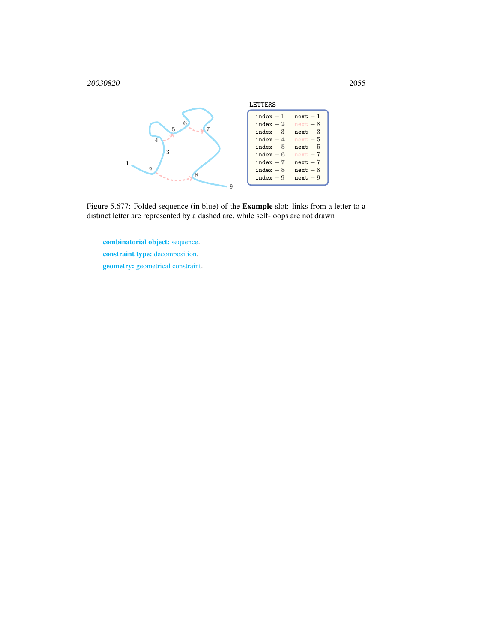

Figure 5.677: Folded sequence (in blue) of the Example slot: links from a letter to a distinct letter are represented by a dashed arc, while self-loops are not drawn

<span id="page-1-0"></span>combinatorial object: sequence. constraint type: decomposition. geometry: geometrical constraint.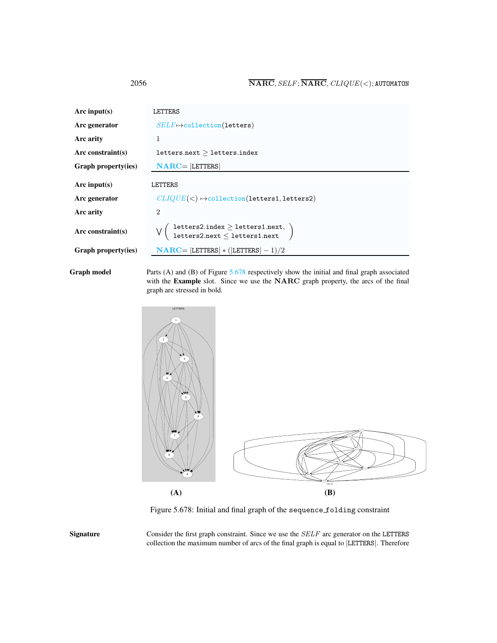| Arc input(s)               | LETTERS                                                                                                                                         |  |  |
|----------------------------|-------------------------------------------------------------------------------------------------------------------------------------------------|--|--|
| Arc generator              | $SELF \mapsto$ collection(letters)                                                                                                              |  |  |
| Arc arity                  | 1                                                                                                                                               |  |  |
| Arc constraint(s)          | letters.next > letters.index                                                                                                                    |  |  |
| <b>Graph property(ies)</b> | $NARC =  LETTERS $                                                                                                                              |  |  |
| Arc input(s)               | LETTERS                                                                                                                                         |  |  |
| Arc generator              | $CLIQUE(<) \rightarrow collection(letters1, letters2)$                                                                                          |  |  |
| Arc arity                  | $\mathcal{D}_{\mathcal{L}}$                                                                                                                     |  |  |
| Arc constraint $(s)$       | $\left( \begin{array}{l} \text{letters2.index} \geq \text{letters1.next}, \ \text{letters2.next} \leq \text{letters1.next} \end{array} \right)$ |  |  |
| <b>Graph property(ies)</b> | $NARC =  LETTERS  * ( LETTERS  - 1)/2$                                                                                                          |  |  |
|                            |                                                                                                                                                 |  |  |

Graph model Parts (A) and (B) of Figure [5.678](#page-2-1) respectively show the initial and final graph associated with the Example slot. Since we use the NARC graph property, the arcs of the final graph are stressed in bold.



<span id="page-2-1"></span>Figure 5.678: Initial and final graph of the sequence folding constraint

Signature Consider the first graph constraint. Since we use the SELF arc generator on the LETTERS collection the maximum number of arcs of the final graph is equal to |LETTERS|. Therefore

<span id="page-2-0"></span>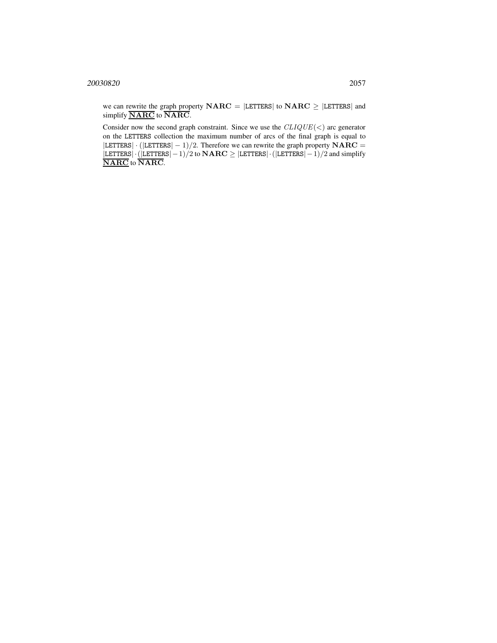we can rewrite the graph property  $NARC = |LETTERS|$  to  $NARC \ge |LETTERS|$  and simplify  $\overline{\text{NARC}}$  to  $\overline{\text{NARC}}$ .

Consider now the second graph constraint. Since we use the  $CLIQUE(<)$  arc generator on the LETTERS collection the maximum number of arcs of the final graph is equal to  $|LETTERS| \cdot (|LETTERS| - 1)/2$ . Therefore we can rewrite the graph property  $NARC =$  $|\texttt{LETTERS}|\cdot(|\texttt{LETTERS}|-1)/2$  to  $\textbf{NARC} \geq |\texttt{LETTERS}|-1)/2$  and simplify NARC to NARC.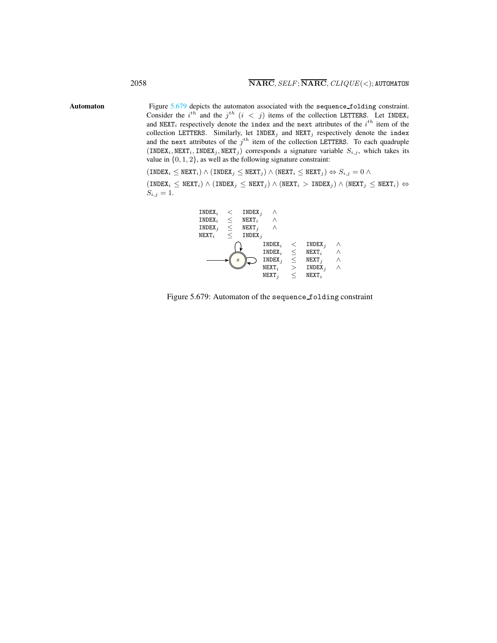Automaton Figure [5.679](#page-4-1) depicts the automaton associated with the sequence folding constraint. Consider the i<sup>th</sup> and the j<sup>th</sup> (i < j) items of the collection LETTERS. Let INDEX<sub>i</sub> and NEXT<sub>i</sub> respectively denote the index and the next attributes of the  $i^{th}$  item of the collection LETTERS. Similarly, let INDEX<sub>j</sub> and NEXT<sub>j</sub> respectively denote the index and the next attributes of the  $j<sup>th</sup>$  item of the collection LETTERS. To each quadruple  $(INDEX_i, NEXT_i, INLEX_j, NEXT_j)$  corresponds a signature variable  $S_{i,j}$ , which takes its value in  $\{0, 1, 2\}$ , as well as the following signature constraint:

> <span id="page-4-0"></span> $(INDEX_i \leq NEXT_i) \wedge (INDEX_j \leq NEXT_j) \wedge ( NEXT_i \leq NEXT_j) \Leftrightarrow S_{i,j} = 0 \wedge$  $(INDEX_i \leq NEXT_i) \wedge (INDEX_j \leq NEXT_j) \wedge (NextT_i > INDEX_j) \wedge (NextT_j \leq NEXT_i) \Leftrightarrow$  $S_{i,j} = 1.$



<span id="page-4-1"></span>Figure 5.679: Automaton of the sequence folding constraint